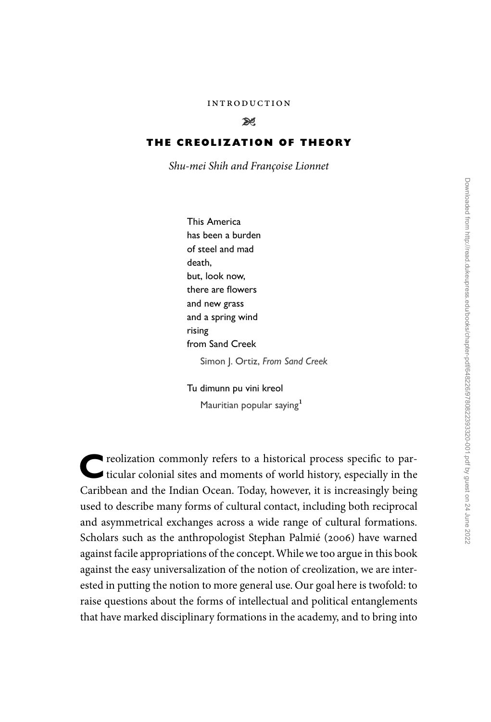#### স্ত

## **THE CREOLIZATION OF THEORY**

*Shu-mei Shih and Françoise Lionnet*

This America has been a burden of steel and mad death, but, look now, there are flowers and new grass and a spring wind rising from Sand Creek Simon J. Ortiz, *From Sand Creek*

Tu dimunn pu vini kreol Mauritian popular saying<sup>1</sup>

**C**reolization commonly refers to a historical process specific to particular colonial sites and moments of world history, especially in the Caribbean and the Indian Ocean. Today, however, it is increasingly being used to describe many forms of cultural contact, including both reciprocal and asymmetrical exchanges across a wide range of cultural formations. Scholars such as the anthropologist Stephan Palmié (2006) have warned against facile appropriations of the concept. While we too argue in this book against the easy universalization of the notion of creolization, we are interested in putting the notion to more general use. Our goal here is twofold: to raise questions about the forms of intellectual and political entanglements that have marked disciplinary formations in the academy, and to bring into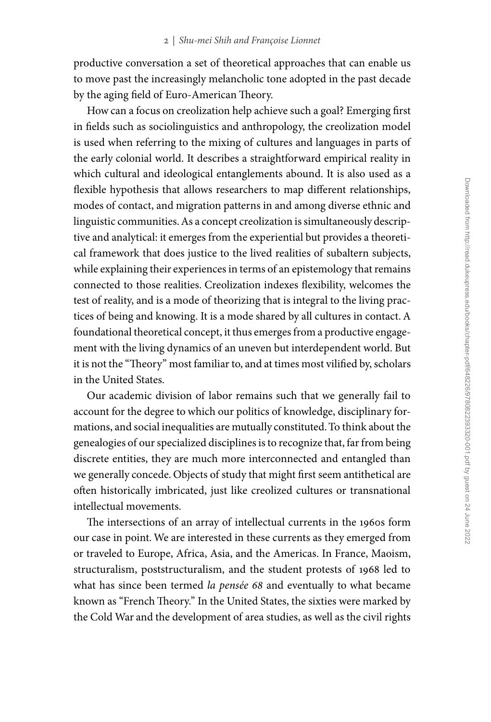productive conversation a set of theoretical approaches that can enable us to move past the increasingly melancholic tone adopted in the past decade by the aging field of Euro-American Theory.

How can a focus on creolization help achieve such a goal? Emerging first in fields such as sociolinguistics and anthropology, the creolization model is used when referring to the mixing of cultures and languages in parts of the early colonial world. It describes a straightforward empirical reality in which cultural and ideological entanglements abound. It is also used as a flexible hypothesis that allows researchers to map different relationships, modes of contact, and migration patterns in and among diverse ethnic and linguistic communities. As a concept creolization is simultaneously descriptive and analytical: it emerges from the experiential but provides a theoretical framework that does justice to the lived realities of subaltern subjects, while explaining their experiences in terms of an epistemology that remains connected to those realities. Creolization indexes flexibility, welcomes the test of reality, and is a mode of theorizing that is integral to the living practices of being and knowing. It is a mode shared by all cultures in contact. A foundational theoretical concept, it thus emerges from a productive engagement with the living dynamics of an uneven but interdependent world. But it is not the "Theory" most familiar to, and at times most vilified by, scholars in the United States.

Our academic division of labor remains such that we generally fail to account for the degree to which our politics of knowledge, disciplinary formations, and social inequalities are mutually constituted. To think about the genealogies of our specialized disciplines is to recognize that, far from being discrete entities, they are much more interconnected and entangled than we generally concede. Objects of study that might first seem antithetical are often historically imbricated, just like creolized cultures or transnational intellectual movements.

The intersections of an array of intellectual currents in the 1960s form our case in point. We are interested in these currents as they emerged from or traveled to Europe, Africa, Asia, and the Americas. In France, Maoism, structuralism, poststructuralism, and the student protests of 1968 led to what has since been termed *la pensée 68* and eventually to what became known as "French Theory." In the United States, the sixties were marked by the Cold War and the development of area studies, as well as the civil rights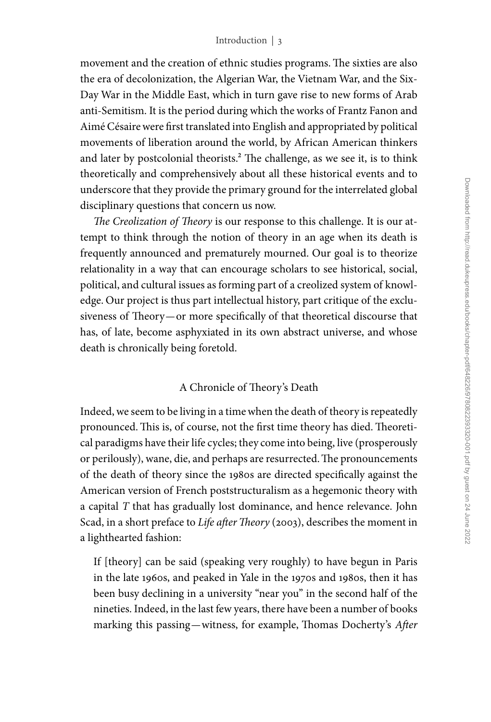movement and the creation of ethnic studies programs. The sixties are also the era of decolonization, the Algerian War, the Vietnam War, and the Six-Day War in the Middle East, which in turn gave rise to new forms of Arab anti-Semitism. It is the period during which the works of Frantz Fanon and Aimé Césaire were first translated into English and appropriated by political movements of liberation around the world, by African American thinkers and later by postcolonial theorists.<sup>2</sup> The challenge, as we see it, is to think theoretically and comprehensively about all these historical events and to underscore that they provide the primary ground for the interrelated global disciplinary questions that concern us now.

*The Creolization of Theory* is our response to this challenge. It is our attempt to think through the notion of theory in an age when its death is frequently announced and prematurely mourned. Our goal is to theorize relationality in a way that can encourage scholars to see historical, social, political, and cultural issues as forming part of a creolized system of knowledge. Our project is thus part intellectual history, part critique of the exclusiveness of Theory—or more specifically of that theoretical discourse that has, of late, become asphyxiated in its own abstract universe, and whose death is chronically being foretold.

# A Chronicle of Theory's Death

Indeed, we seem to be living in a time when the death of theory is repeatedly pronounced. This is, of course, not the first time theory has died. Theoretical paradigms have their life cycles; they come into being, live (prosperously or perilously), wane, die, and perhaps are resurrected. The pronouncements of the death of theory since the 1980s are directed specifically against the American version of French poststructuralism as a hegemonic theory with a capital *T* that has gradually lost dominance, and hence relevance. John Scad, in a short preface to *Life after Theory* (2003), describes the moment in a lighthearted fashion:

If [theory] can be said (speaking very roughly) to have begun in Paris in the late 1960s, and peaked in Yale in the 1970s and 1980s, then it has been busy declining in a university "near you" in the second half of the nineties. Indeed, in the last few years, there have been a number of books marking this passing—witness, for example, Thomas Docherty's *After*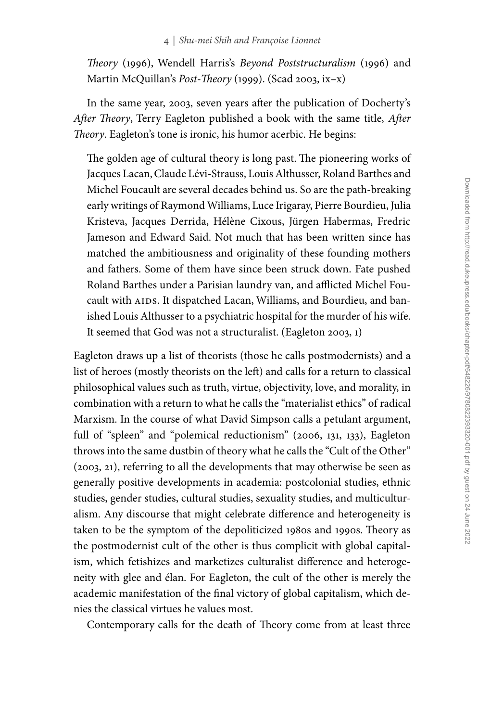*Theory* (1996), Wendell Harris's *Beyond Poststructuralism* (1996) and Martin McQuillan's *Post-Theory* (1999). (Scad 2003, ix–x)

In the same year, 2003, seven years after the publication of Docherty's *After Theory*, Terry Eagleton published a book with the same title, *After Theory*. Eagleton's tone is ironic, his humor acerbic. He begins:

The golden age of cultural theory is long past. The pioneering works of Jacques Lacan, Claude Lévi-Strauss, Louis Althusser, Roland Barthes and Michel Foucault are several decades behind us. So are the path-breaking early writings of Raymond Williams, Luce Irigaray, Pierre Bourdieu, Julia Kristeva, Jacques Derrida, Hélène Cixous, Jürgen Habermas, Fredric Jameson and Edward Said. Not much that has been written since has matched the ambitiousness and originality of these founding mothers and fathers. Some of them have since been struck down. Fate pushed Roland Barthes under a Parisian laundry van, and afflicted Michel Foucault with AIDS. It dispatched Lacan, Williams, and Bourdieu, and banished Louis Althusser to a psychiatric hospital for the murder of his wife. It seemed that God was not a structuralist. (Eagleton 2003, 1)

Eagleton draws up a list of theorists (those he calls postmodernists) and a list of heroes (mostly theorists on the left) and calls for a return to classical philosophical values such as truth, virtue, objectivity, love, and morality, in combination with a return to what he calls the "materialist ethics" of radical Marxism. In the course of what David Simpson calls a petulant argument, full of "spleen" and "polemical reductionism" (2006, 131, 133), Eagleton throws into the same dustbin of theory what he calls the "Cult of the Other" (2003, 21), referring to all the developments that may otherwise be seen as generally positive developments in academia: postcolonial studies, ethnic studies, gender studies, cultural studies, sexuality studies, and multiculturalism. Any discourse that might celebrate difference and heterogeneity is taken to be the symptom of the depoliticized 1980s and 1990s. Theory as the postmodernist cult of the other is thus complicit with global capitalism, which fetishizes and marketizes culturalist difference and heterogeneity with glee and élan. For Eagleton, the cult of the other is merely the academic manifestation of the final victory of global capitalism, which denies the classical virtues he values most.

Contemporary calls for the death of Theory come from at least three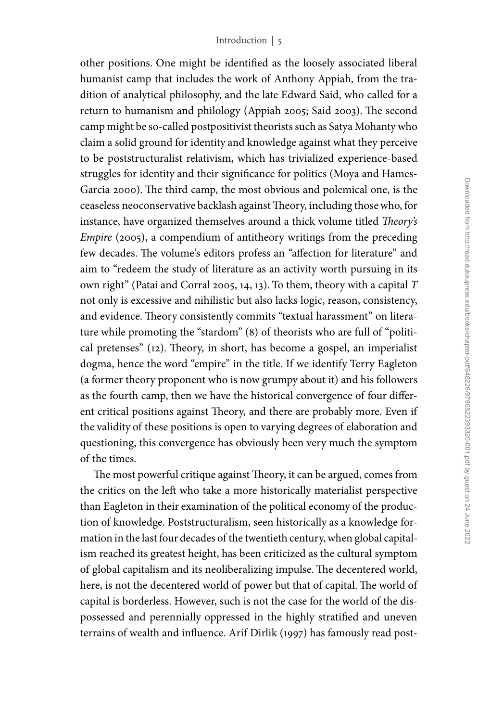other positions. One might be identified as the loosely associated liberal humanist camp that includes the work of Anthony Appiah, from the tradition of analytical philosophy, and the late Edward Said, who called for a return to humanism and philology (Appiah 2005; Said 2003). The second camp might be so-called postpositivist theorists such as Satya Mohanty who claim a solid ground for identity and knowledge against what they perceive to be poststructuralist relativism, which has trivialized experience-based struggles for identity and their significance for politics (Moya and Hames-Garcia 2000). The third camp, the most obvious and polemical one, is the ceaseless neoconservative backlash against Theory, including those who, for instance, have organized themselves around a thick volume titled *Theory's Empire* (2005), a compendium of antitheory writings from the preceding few decades. The volume's editors profess an "affection for literature" and aim to "redeem the study of literature as an activity worth pursuing in its own right" (Patai and Corral 2005, 14, 13). To them, theory with a capital *T* not only is excessive and nihilistic but also lacks logic, reason, consistency, and evidence. Theory consistently commits "textual harassment" on literature while promoting the "stardom" (8) of theorists who are full of "political pretenses" (12). Theory, in short, has become a gospel, an imperialist dogma, hence the word "empire" in the title. If we identify Terry Eagleton (a former theory proponent who is now grumpy about it) and his followers as the fourth camp, then we have the historical convergence of four different critical positions against Theory, and there are probably more. Even if the validity of these positions is open to varying degrees of elaboration and questioning, this convergence has obviously been very much the symptom of the times.

The most powerful critique against Theory, it can be argued, comes from the critics on the left who take a more historically materialist perspective than Eagleton in their examination of the political economy of the production of knowledge. Poststructuralism, seen historically as a knowledge formation in the last four decades of the twentieth century, when global capitalism reached its greatest height, has been criticized as the cultural symptom of global capitalism and its neoliberalizing impulse. The decentered world, here, is not the decentered world of power but that of capital. The world of capital is borderless. However, such is not the case for the world of the dispossessed and perennially oppressed in the highly stratified and uneven terrains of wealth and influence. Arif Dirlik (1997) has famously read post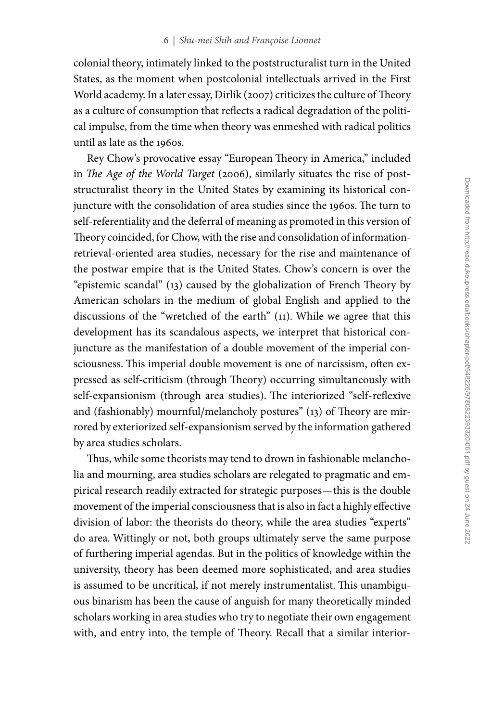colonial theory, intimately linked to the poststructuralist turn in the United States, as the moment when postcolonial intellectuals arrived in the First World academy. In a later essay, Dirlik (2007) criticizes the culture of Theory as a culture of consumption that reflects a radical degradation of the political impulse, from the time when theory was enmeshed with radical politics until as late as the 1960s.

Rey Chow's provocative essay "European Theory in America," included in *The Age of the World Target* (2006), similarly situates the rise of poststructuralist theory in the United States by examining its historical conjuncture with the consolidation of area studies since the 1960s. The turn to self-referentiality and the deferral of meaning as promoted in this version of Theory coincided, for Chow, with the rise and consolidation of informationretrieval-oriented area studies, necessary for the rise and maintenance of the postwar empire that is the United States. Chow's concern is over the "epistemic scandal" (13) caused by the globalization of French Theory by American scholars in the medium of global English and applied to the discussions of the "wretched of the earth" (11). While we agree that this development has its scandalous aspects, we interpret that historical conjuncture as the manifestation of a double movement of the imperial consciousness. This imperial double movement is one of narcissism, often expressed as self-criticism (through Theory) occurring simultaneously with self-expansionism (through area studies). The interiorized "self-reflexive and (fashionably) mournful/melancholy postures" (13) of Theory are mirrored by exteriorized self-expansionism served by the information gathered by area studies scholars.

Thus, while some theorists may tend to drown in fashionable melancholia and mourning, area studies scholars are relegated to pragmatic and empirical research readily extracted for strategic purposes—this is the double movement of the imperial consciousness that is also in fact a highly effective division of labor: the theorists do theory, while the area studies "experts" do area. Wittingly or not, both groups ultimately serve the same purpose of furthering imperial agendas. But in the politics of knowledge within the university, theory has been deemed more sophisticated, and area studies is assumed to be uncritical, if not merely instrumentalist. This unambiguous binarism has been the cause of anguish for many theoretically minded scholars working in area studies who try to negotiate their own engagement with, and entry into, the temple of Theory. Recall that a similar interior-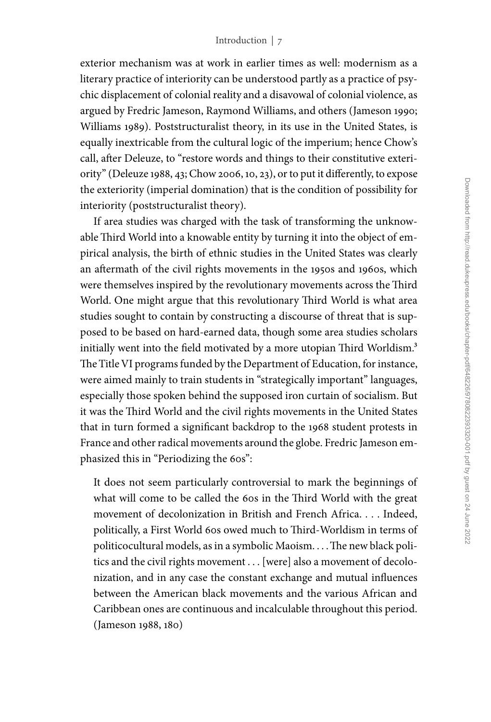exterior mechanism was at work in earlier times as well: modernism as a literary practice of interiority can be understood partly as a practice of psychic displacement of colonial reality and a disavowal of colonial violence, as argued by Fredric Jameson, Raymond Williams, and others (Jameson 1990; Williams 1989). Poststructuralist theory, in its use in the United States, is equally inextricable from the cultural logic of the imperium; hence Chow's call, after Deleuze, to "restore words and things to their constitutive exteriority" (Deleuze 1988, 43; Chow 2006, 10, 23), or to put it differently, to expose the exteriority (imperial domination) that is the condition of possibility for interiority (poststructuralist theory).

If area studies was charged with the task of transforming the unknowable Third World into a knowable entity by turning it into the object of empirical analysis, the birth of ethnic studies in the United States was clearly an aftermath of the civil rights movements in the 1950s and 1960s, which were themselves inspired by the revolutionary movements across the Third World. One might argue that this revolutionary Third World is what area studies sought to contain by constructing a discourse of threat that is supposed to be based on hard-earned data, though some area studies scholars initially went into the field motivated by a more utopian Third Worldism.<sup>3</sup> The Title VI programs funded by the Department of Education, for instance, were aimed mainly to train students in "strategically important" languages, especially those spoken behind the supposed iron curtain of socialism. But it was the Third World and the civil rights movements in the United States that in turn formed a significant backdrop to the 1968 student protests in France and other radical movements around the globe. Fredric Jameson emphasized this in "Periodizing the 60s":

It does not seem particularly controversial to mark the beginnings of what will come to be called the 60s in the Third World with the great movement of decolonization in British and French Africa. . . . Indeed, politically, a First World 60s owed much to Third-Worldism in terms of politicocultural models, as in a symbolic Maoism. . . . The new black politics and the civil rights movement . . . [were] also a movement of decolonization, and in any case the constant exchange and mutual influences between the American black movements and the various African and Caribbean ones are continuous and incalculable throughout this period. (Jameson 1988, 180)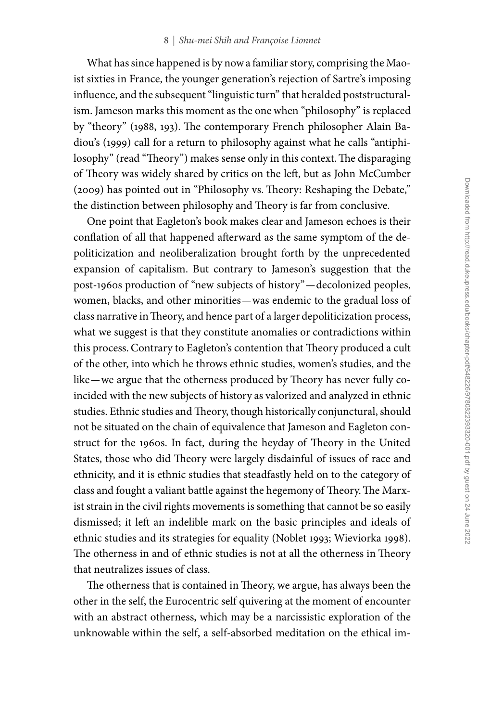What has since happened is by now a familiar story, comprising the Maoist sixties in France, the younger generation's rejection of Sartre's imposing influence, and the subsequent "linguistic turn" that heralded poststructuralism. Jameson marks this moment as the one when "philosophy" is replaced by "theory" (1988, 193). The contemporary French philosopher Alain Badiou's (1999) call for a return to philosophy against what he calls "antiphilosophy" (read "Theory") makes sense only in this context. The disparaging of Theory was widely shared by critics on the left, but as John McCumber (2009) has pointed out in "Philosophy vs. Theory: Reshaping the Debate," the distinction between philosophy and Theory is far from conclusive.

One point that Eagleton's book makes clear and Jameson echoes is their conflation of all that happened afterward as the same symptom of the depoliticization and neoliberalization brought forth by the unprecedented expansion of capitalism. But contrary to Jameson's suggestion that the post-1960s production of "new subjects of history"—decolonized peoples, women, blacks, and other minorities—was endemic to the gradual loss of class narrative in Theory, and hence part of a larger depoliticization process, what we suggest is that they constitute anomalies or contradictions within this process. Contrary to Eagleton's contention that Theory produced a cult of the other, into which he throws ethnic studies, women's studies, and the like—we argue that the otherness produced by Theory has never fully coincided with the new subjects of history as valorized and analyzed in ethnic studies. Ethnic studies and Theory, though historically conjunctural, should not be situated on the chain of equivalence that Jameson and Eagleton construct for the 1960s. In fact, during the heyday of Theory in the United States, those who did Theory were largely disdainful of issues of race and ethnicity, and it is ethnic studies that steadfastly held on to the category of class and fought a valiant battle against the hegemony of Theory. The Marxist strain in the civil rights movements is something that cannot be so easily dismissed; it left an indelible mark on the basic principles and ideals of ethnic studies and its strategies for equality (Noblet 1993; Wieviorka 1998). The otherness in and of ethnic studies is not at all the otherness in Theory that neutralizes issues of class.

The otherness that is contained in Theory, we argue, has always been the other in the self, the Eurocentric self quivering at the moment of encounter with an abstract otherness, which may be a narcissistic exploration of the unknowable within the self, a self-absorbed meditation on the ethical im-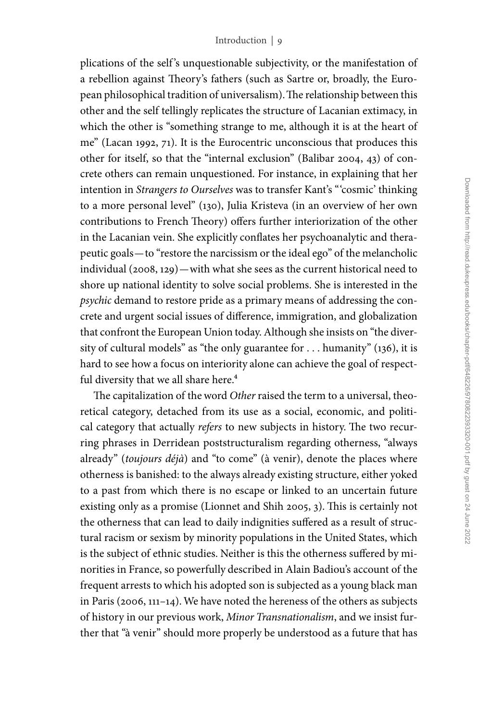plications of the self 's unquestionable subjectivity, or the manifestation of a rebellion against Theory's fathers (such as Sartre or, broadly, the European philosophical tradition of universalism). The relationship between this other and the self tellingly replicates the structure of Lacanian extimacy, in which the other is "something strange to me, although it is at the heart of me" (Lacan 1992, 71). It is the Eurocentric unconscious that produces this other for itself, so that the "internal exclusion" (Balibar 2004, 43) of concrete others can remain unquestioned. For instance, in explaining that her intention in *Strangers to Ourselves* was to transfer Kant's "'cosmic' thinking to a more personal level" (130), Julia Kristeva (in an overview of her own contributions to French Theory) offers further interiorization of the other in the Lacanian vein. She explicitly conflates her psychoanalytic and therapeutic goals—to "restore the narcissism or the ideal ego" of the melancholic individual (2008, 129)—with what she sees as the current historical need to shore up national identity to solve social problems. She is interested in the *psychic* demand to restore pride as a primary means of addressing the concrete and urgent social issues of difference, immigration, and globalization that confront the European Union today. Although she insists on "the diversity of cultural models" as "the only guarantee for . . . humanity" (136), it is hard to see how a focus on interiority alone can achieve the goal of respectful diversity that we all share here.<sup>4</sup>

The capitalization of the word *Other* raised the term to a universal, theoretical category, detached from its use as a social, economic, and political category that actually *refers* to new subjects in history. The two recurring phrases in Derridean poststructuralism regarding otherness, "always already" (*toujours déjà*) and "to come" (à venir), denote the places where otherness is banished: to the always already existing structure, either yoked to a past from which there is no escape or linked to an uncertain future existing only as a promise (Lionnet and Shih 2005, 3). This is certainly not the otherness that can lead to daily indignities suffered as a result of structural racism or sexism by minority populations in the United States, which is the subject of ethnic studies. Neither is this the otherness suffered by minorities in France, so powerfully described in Alain Badiou's account of the frequent arrests to which his adopted son is subjected as a young black man in Paris (2006, 111–14). We have noted the hereness of the others as subjects of history in our previous work, *Minor Transnationalism*, and we insist further that "à venir" should more properly be understood as a future that has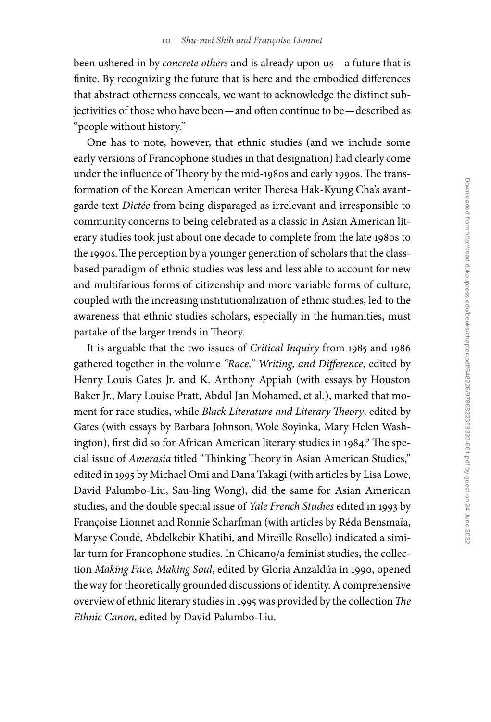been ushered in by *concrete others* and is already upon us—a future that is finite. By recognizing the future that is here and the embodied differences that abstract otherness conceals, we want to acknowledge the distinct subjectivities of those who have been—and often continue to be—described as "people without history."

One has to note, however, that ethnic studies (and we include some early versions of Francophone studies in that designation) had clearly come under the influence of Theory by the mid-1980s and early 1990s. The transformation of the Korean American writer Theresa Hak-Kyung Cha's avantgarde text *Dictée* from being disparaged as irrelevant and irresponsible to community concerns to being celebrated as a classic in Asian American literary studies took just about one decade to complete from the late 1980s to the 1990s. The perception by a younger generation of scholars that the classbased paradigm of ethnic studies was less and less able to account for new and multifarious forms of citizenship and more variable forms of culture, coupled with the increasing institutionalization of ethnic studies, led to the awareness that ethnic studies scholars, especially in the humanities, must partake of the larger trends in Theory.

It is arguable that the two issues of *Critical Inquiry* from 1985 and 1986 gathered together in the volume *"Race," Writing, and Difference*, edited by Henry Louis Gates Jr. and K. Anthony Appiah (with essays by Houston Baker Jr., Mary Louise Pratt, Abdul Jan Mohamed, et al.), marked that moment for race studies, while *Black Literature and Literary Theory*, edited by Gates (with essays by Barbara Johnson, Wole Soyinka, Mary Helen Washington), first did so for African American literary studies in 1984.<sup>5</sup> The special issue of *Amerasia* titled "Thinking Theory in Asian American Studies," edited in 1995 by Michael Omi and Dana Takagi (with articles by Lisa Lowe, David Palumbo-Liu, Sau-ling Wong), did the same for Asian American studies, and the double special issue of *Yale French Studies* edited in 1993 by Françoise Lionnet and Ronnie Scharfman (with articles by Réda Bensmaïa, Maryse Condé, Abdelkebir Khatibi, and Mireille Rosello) indicated a similar turn for Francophone studies. In Chicano/a feminist studies, the collection *Making Face, Making Soul*, edited by Gloria Anzaldúa in 1990, opened the way for theoretically grounded discussions of identity. A comprehensive overview of ethnic literary studies in 1995 was provided by the collection *The Ethnic Canon*, edited by David Palumbo-Liu.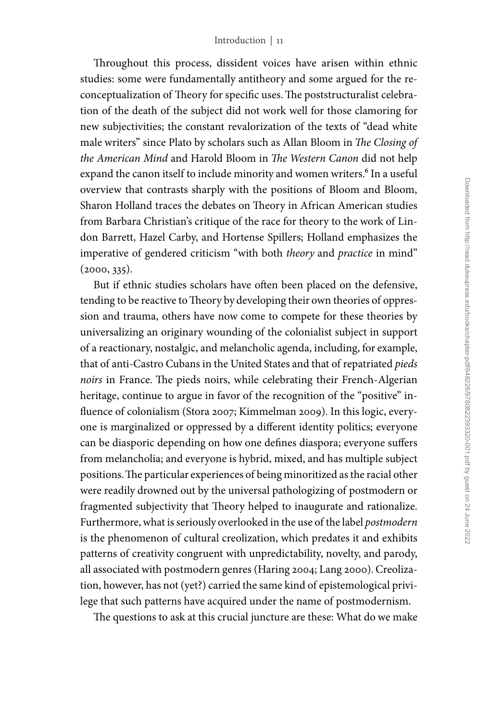Throughout this process, dissident voices have arisen within ethnic studies: some were fundamentally antitheory and some argued for the reconceptualization of Theory for specific uses. The poststructuralist celebration of the death of the subject did not work well for those clamoring for new subjectivities; the constant revalorization of the texts of "dead white male writers" since Plato by scholars such as Allan Bloom in *The Closing of the American Mind* and Harold Bloom in *The Western Canon* did not help expand the canon itself to include minority and women writers.<sup>6</sup> In a useful overview that contrasts sharply with the positions of Bloom and Bloom, Sharon Holland traces the debates on Theory in African American studies from Barbara Christian's critique of the race for theory to the work of Lindon Barrett, Hazel Carby, and Hortense Spillers; Holland emphasizes the imperative of gendered criticism "with both *theory* and *practice* in mind" (2000, 335).

But if ethnic studies scholars have often been placed on the defensive, tending to be reactive to Theory by developing their own theories of oppression and trauma, others have now come to compete for these theories by universalizing an originary wounding of the colonialist subject in support of a reactionary, nostalgic, and melancholic agenda, including, for example, that of anti-Castro Cubans in the United States and that of repatriated *pieds noirs* in France. The pieds noirs, while celebrating their French-Algerian heritage, continue to argue in favor of the recognition of the "positive" influence of colonialism (Stora 2007; Kimmelman 2009). In this logic, everyone is marginalized or oppressed by a different identity politics; everyone can be diasporic depending on how one defines diaspora; everyone suffers from melancholia; and everyone is hybrid, mixed, and has multiple subject positions. The particular experiences of being minoritized as the racial other were readily drowned out by the universal pathologizing of postmodern or fragmented subjectivity that Theory helped to inaugurate and rationalize. Furthermore, what is seriously overlooked in the use of the label *postmodern* is the phenomenon of cultural creolization, which predates it and exhibits patterns of creativity congruent with unpredictability, novelty, and parody, all associated with postmodern genres (Haring 2004; Lang 2000). Creolization, however, has not (yet?) carried the same kind of epistemological privilege that such patterns have acquired under the name of postmodernism.

The questions to ask at this crucial juncture are these: What do we make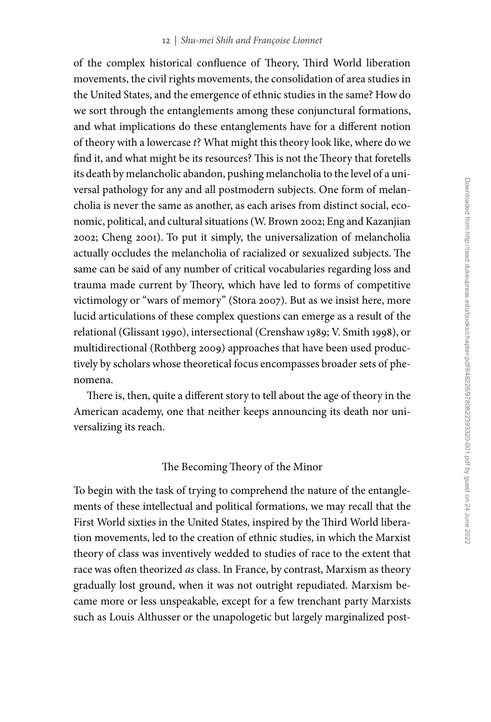of the complex historical confluence of Theory, Third World liberation movements, the civil rights movements, the consolidation of area studies in the United States, and the emergence of ethnic studies in the same? How do we sort through the entanglements among these conjunctural formations, and what implications do these entanglements have for a different notion of theory with a lowercase *t*? What might this theory look like, where do we find it, and what might be its resources? This is not the Theory that foretells its death by melancholic abandon, pushing melancholia to the level of a universal pathology for any and all postmodern subjects. One form of melancholia is never the same as another, as each arises from distinct social, economic, political, and cultural situations (W. Brown 2002; Eng and Kazanjian 2002; Cheng 2001). To put it simply, the universalization of melancholia actually occludes the melancholia of racialized or sexualized subjects. The same can be said of any number of critical vocabularies regarding loss and trauma made current by Theory, which have led to forms of competitive victimology or "wars of memory" (Stora 2007). But as we insist here, more lucid articulations of these complex questions can emerge as a result of the relational (Glissant 1990), intersectional (Crenshaw 1989; V. Smith 1998), or multidirectional (Rothberg 2009) approaches that have been used productively by scholars whose theoretical focus encompasses broader sets of phenomena.

There is, then, quite a different story to tell about the age of theory in the American academy, one that neither keeps announcing its death nor universalizing its reach.

# The Becoming Theory of the Minor

To begin with the task of trying to comprehend the nature of the entanglements of these intellectual and political formations, we may recall that the First World sixties in the United States, inspired by the Third World liberation movements, led to the creation of ethnic studies, in which the Marxist theory of class was inventively wedded to studies of race to the extent that race was often theorized *as* class. In France, by contrast, Marxism as theory gradually lost ground, when it was not outright repudiated. Marxism became more or less unspeakable, except for a few trenchant party Marxists such as Louis Althusser or the unapologetic but largely marginalized post-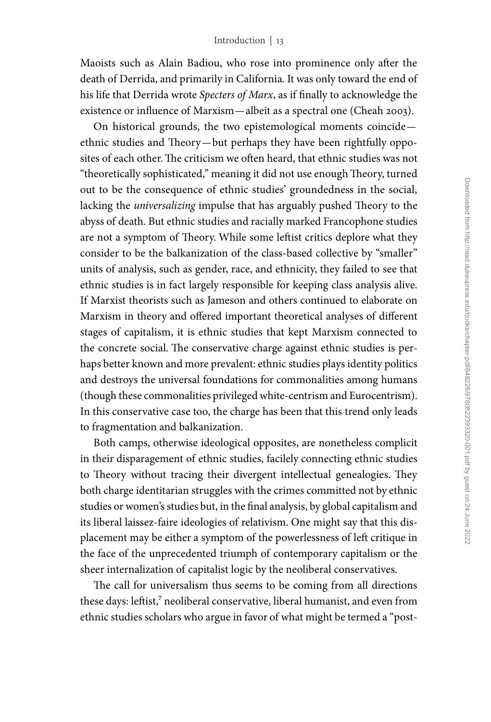Maoists such as Alain Badiou, who rose into prominence only after the death of Derrida, and primarily in California. It was only toward the end of his life that Derrida wrote *Specters of Marx*, as if finally to acknowledge the existence or influence of Marxism—albeit as a spectral one (Cheah 2003).

On historical grounds, the two epistemological moments coincide ethnic studies and Theory—but perhaps they have been rightfully opposites of each other. The criticism we often heard, that ethnic studies was not "theoretically sophisticated," meaning it did not use enough Theory, turned out to be the consequence of ethnic studies' groundedness in the social, lacking the *universalizing* impulse that has arguably pushed Theory to the abyss of death. But ethnic studies and racially marked Francophone studies are not a symptom of Theory. While some leftist critics deplore what they consider to be the balkanization of the class-based collective by "smaller" units of analysis, such as gender, race, and ethnicity, they failed to see that ethnic studies is in fact largely responsible for keeping class analysis alive. If Marxist theorists such as Jameson and others continued to elaborate on Marxism in theory and offered important theoretical analyses of different stages of capitalism, it is ethnic studies that kept Marxism connected to the concrete social. The conservative charge against ethnic studies is perhaps better known and more prevalent: ethnic studies plays identity politics and destroys the universal foundations for commonalities among humans (though these commonalities privileged white-centrism and Eurocentrism). In this conservative case too, the charge has been that this trend only leads to fragmentation and balkanization.

Both camps, otherwise ideological opposites, are nonetheless complicit in their disparagement of ethnic studies, facilely connecting ethnic studies to Theory without tracing their divergent intellectual genealogies. They both charge identitarian struggles with the crimes committed not by ethnic studies or women's studies but, in the final analysis, by global capitalism and its liberal laissez-faire ideologies of relativism. One might say that this displacement may be either a symptom of the powerlessness of left critique in the face of the unprecedented triumph of contemporary capitalism or the sheer internalization of capitalist logic by the neoliberal conservatives.

The call for universalism thus seems to be coming from all directions these days: leftist,<sup>7</sup> neoliberal conservative, liberal humanist, and even from ethnic studies scholars who argue in favor of what might be termed a "post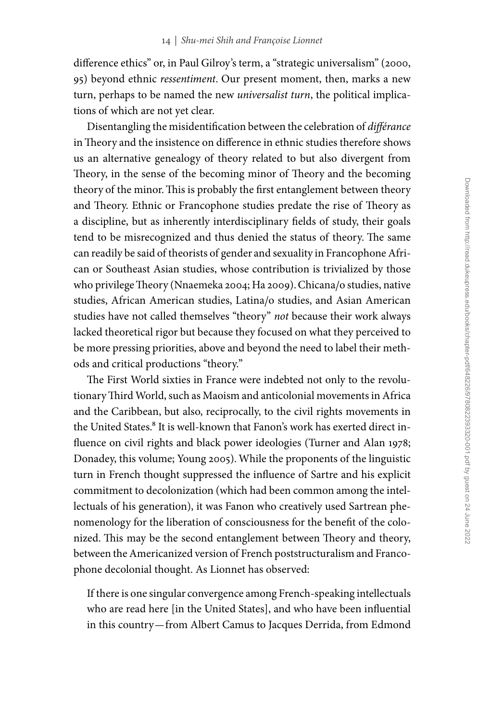difference ethics" or, in Paul Gilroy's term, a "strategic universalism" (2000, 95) beyond ethnic *ressentiment*. Our present moment, then, marks a new turn, perhaps to be named the new *universalist turn*, the political implications of which are not yet clear.

Disentangling the misidentification between the celebration of *différance* in Theory and the insistence on difference in ethnic studies therefore shows us an alternative genealogy of theory related to but also divergent from Theory, in the sense of the becoming minor of Theory and the becoming theory of the minor. This is probably the first entanglement between theory and Theory. Ethnic or Francophone studies predate the rise of Theory as a discipline, but as inherently interdisciplinary fields of study, their goals tend to be misrecognized and thus denied the status of theory. The same can readily be said of theorists of gender and sexuality in Francophone African or Southeast Asian studies, whose contribution is trivialized by those who privilege Theory (Nnaemeka 2004; Ha 2009). Chicana/o studies, native studies, African American studies, Latina/o studies, and Asian American studies have not called themselves "theory" *not* because their work always lacked theoretical rigor but because they focused on what they perceived to be more pressing priorities, above and beyond the need to label their methods and critical productions "theory."

The First World sixties in France were indebted not only to the revolutionary Third World, such as Maoism and anticolonial movements in Africa and the Caribbean, but also, reciprocally, to the civil rights movements in the United States.<sup>8</sup> It is well-known that Fanon's work has exerted direct influence on civil rights and black power ideologies (Turner and Alan 1978; Donadey, this volume; Young 2005). While the proponents of the linguistic turn in French thought suppressed the influence of Sartre and his explicit commitment to decolonization (which had been common among the intellectuals of his generation), it was Fanon who creatively used Sartrean phenomenology for the liberation of consciousness for the benefit of the colonized. This may be the second entanglement between Theory and theory, between the Americanized version of French poststructuralism and Francophone decolonial thought. As Lionnet has observed:

If there is one singular convergence among French-speaking intellectuals who are read here [in the United States], and who have been influential in this country—from Albert Camus to Jacques Derrida, from Edmond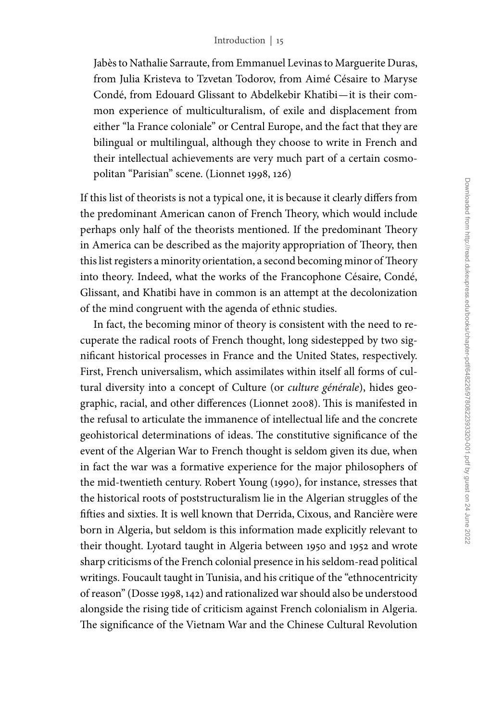Jabès to Nathalie Sarraute, from Emmanuel Levinas to Marguerite Duras, from Julia Kristeva to Tzvetan Todorov, from Aimé Césaire to Maryse Condé, from Edouard Glissant to Abdelkebir Khatibi—it is their common experience of multiculturalism, of exile and displacement from either "la France coloniale" or Central Europe, and the fact that they are bilingual or multilingual, although they choose to write in French and their intellectual achievements are very much part of a certain cosmopolitan "Parisian" scene. (Lionnet 1998, 126)

If this list of theorists is not a typical one, it is because it clearly differs from the predominant American canon of French Theory, which would include perhaps only half of the theorists mentioned. If the predominant Theory in America can be described as the majority appropriation of Theory, then this list registers a minority orientation, a second becoming minor of Theory into theory. Indeed, what the works of the Francophone Césaire, Condé, Glissant, and Khatibi have in common is an attempt at the decolonization of the mind congruent with the agenda of ethnic studies.

In fact, the becoming minor of theory is consistent with the need to recuperate the radical roots of French thought, long sidestepped by two significant historical processes in France and the United States, respectively. First, French universalism, which assimilates within itself all forms of cultural diversity into a concept of Culture (or *culture générale*), hides geographic, racial, and other differences (Lionnet 2008). This is manifested in the refusal to articulate the immanence of intellectual life and the concrete geohistorical determinations of ideas. The constitutive significance of the event of the Algerian War to French thought is seldom given its due, when in fact the war was a formative experience for the major philosophers of the mid-twentieth century. Robert Young (1990), for instance, stresses that the historical roots of poststructuralism lie in the Algerian struggles of the fifties and sixties. It is well known that Derrida, Cixous, and Rancière were born in Algeria, but seldom is this information made explicitly relevant to their thought. Lyotard taught in Algeria between 1950 and 1952 and wrote sharp criticisms of the French colonial presence in his seldom-read political writings. Foucault taught in Tunisia, and his critique of the "ethnocentricity of reason" (Dosse 1998, 142) and rationalized war should also be understood alongside the rising tide of criticism against French colonialism in Algeria. The significance of the Vietnam War and the Chinese Cultural Revolution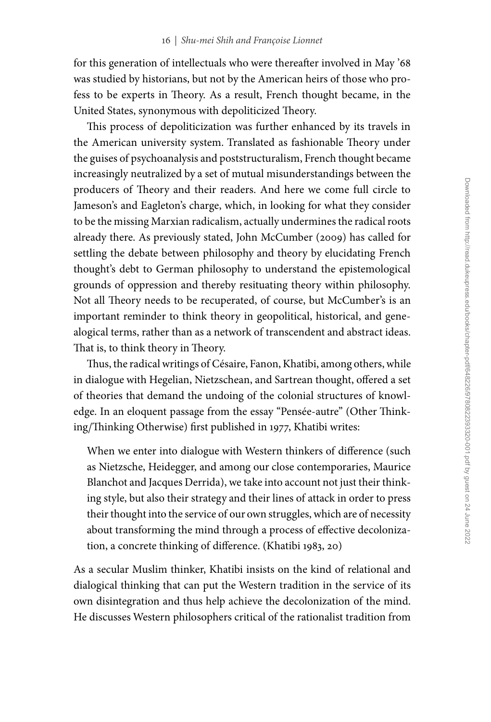for this generation of intellectuals who were thereafter involved in May '68 was studied by historians, but not by the American heirs of those who profess to be experts in Theory. As a result, French thought became, in the United States, synonymous with depoliticized Theory.

This process of depoliticization was further enhanced by its travels in the American university system. Translated as fashionable Theory under the guises of psychoanalysis and poststructuralism, French thought became increasingly neutralized by a set of mutual misunderstandings between the producers of Theory and their readers. And here we come full circle to Jameson's and Eagleton's charge, which, in looking for what they consider to be the missing Marxian radicalism, actually undermines the radical roots already there. As previously stated, John McCumber (2009) has called for settling the debate between philosophy and theory by elucidating French thought's debt to German philosophy to understand the epistemological grounds of oppression and thereby resituating theory within philosophy. Not all Theory needs to be recuperated, of course, but McCumber's is an important reminder to think theory in geopolitical, historical, and genealogical terms, rather than as a network of transcendent and abstract ideas. That is, to think theory in Theory.

Thus, the radical writings of Césaire, Fanon, Khatibi, among others, while in dialogue with Hegelian, Nietzschean, and Sartrean thought, offered a set of theories that demand the undoing of the colonial structures of knowledge. In an eloquent passage from the essay "Pensée-autre" (Other Thinking/Thinking Otherwise) first published in 1977, Khatibi writes:

When we enter into dialogue with Western thinkers of difference (such as Nietzsche, Heidegger, and among our close contemporaries, Maurice Blanchot and Jacques Derrida), we take into account not just their thinking style, but also their strategy and their lines of attack in order to press their thought into the service of our own struggles, which are of necessity about transforming the mind through a process of effective decolonization, a concrete thinking of difference. (Khatibi 1983, 20)

As a secular Muslim thinker, Khatibi insists on the kind of relational and dialogical thinking that can put the Western tradition in the service of its own disintegration and thus help achieve the decolonization of the mind. He discusses Western philosophers critical of the rationalist tradition from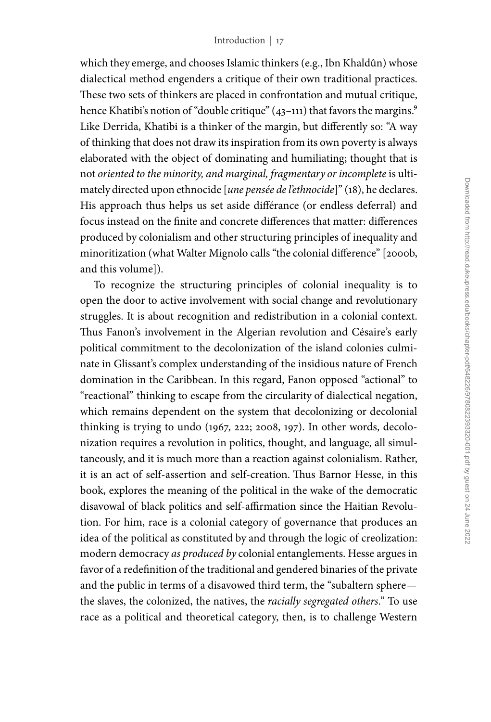which they emerge, and chooses Islamic thinkers (e.g., Ibn Khaldûn) whose dialectical method engenders a critique of their own traditional practices. These two sets of thinkers are placed in confrontation and mutual critique, hence Khatibi's notion of "double critique" (43-111) that favors the margins.<sup>9</sup> Like Derrida, Khatibi is a thinker of the margin, but differently so: "A way of thinking that does not draw its inspiration from its own poverty is always elaborated with the object of dominating and humiliating; thought that is not *oriented to the minority, and marginal, fragmentary or incomplete* is ultimately directed upon ethnocide [*une pensée de l'ethnocide*]" (18), he declares. His approach thus helps us set aside différance (or endless deferral) and focus instead on the finite and concrete differences that matter: differences produced by colonialism and other structuring principles of inequality and minoritization (what Walter Mignolo calls "the colonial difference" [2000b, and this volume]).

To recognize the structuring principles of colonial inequality is to open the door to active involvement with social change and revolutionary struggles. It is about recognition and redistribution in a colonial context. Thus Fanon's involvement in the Algerian revolution and Césaire's early political commitment to the decolonization of the island colonies culminate in Glissant's complex understanding of the insidious nature of French domination in the Caribbean. In this regard, Fanon opposed "actional" to "reactional" thinking to escape from the circularity of dialectical negation, which remains dependent on the system that decolonizing or decolonial thinking is trying to undo (1967, 222; 2008, 197). In other words, decolonization requires a revolution in politics, thought, and language, all simultaneously, and it is much more than a reaction against colonialism. Rather, it is an act of self-assertion and self-creation. Thus Barnor Hesse, in this book, explores the meaning of the political in the wake of the democratic disavowal of black politics and self-affirmation since the Haitian Revolution. For him, race is a colonial category of governance that produces an idea of the political as constituted by and through the logic of creolization: modern democracy *as produced by* colonial entanglements. Hesse argues in favor of a redefinition of the traditional and gendered binaries of the private and the public in terms of a disavowed third term, the "subaltern sphere the slaves, the colonized, the natives, the *racially segregated others*." To use race as a political and theoretical category, then, is to challenge Western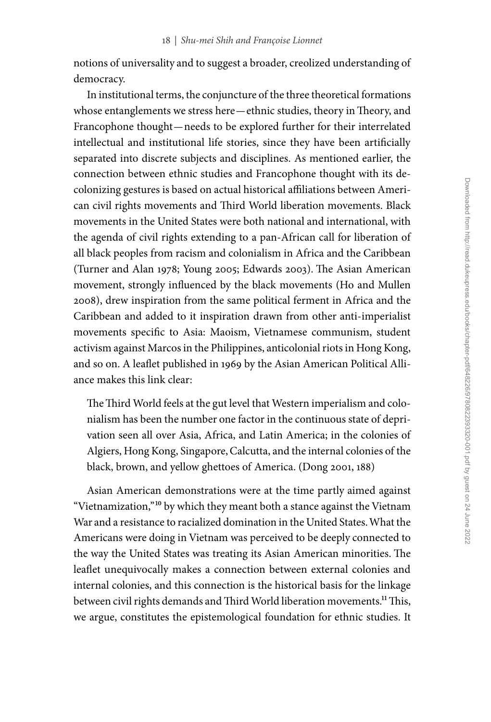notions of universality and to suggest a broader, creolized understanding of democracy.

In institutional terms, the conjuncture of the three theoretical formations whose entanglements we stress here—ethnic studies, theory in Theory, and Francophone thought—needs to be explored further for their interrelated intellectual and institutional life stories, since they have been artificially separated into discrete subjects and disciplines. As mentioned earlier, the connection between ethnic studies and Francophone thought with its decolonizing gestures is based on actual historical affiliations between American civil rights movements and Third World liberation movements. Black movements in the United States were both national and international, with the agenda of civil rights extending to a pan-African call for liberation of all black peoples from racism and colonialism in Africa and the Caribbean (Turner and Alan 1978; Young 2005; Edwards 2003). The Asian American movement, strongly influenced by the black movements (Ho and Mullen 2008), drew inspiration from the same political ferment in Africa and the Caribbean and added to it inspiration drawn from other anti-imperialist movements specific to Asia: Maoism, Vietnamese communism, student activism against Marcos in the Philippines, anticolonial riots in Hong Kong, and so on. A leaflet published in 1969 by the Asian American Political Alliance makes this link clear:

The Third World feels at the gut level that Western imperialism and colonialism has been the number one factor in the continuous state of deprivation seen all over Asia, Africa, and Latin America; in the colonies of Algiers, Hong Kong, Singapore, Calcutta, and the internal colonies of the black, brown, and yellow ghettoes of America. (Dong 2001, 188)

Asian American demonstrations were at the time partly aimed against "Vietnamization,"10 by which they meant both a stance against the Vietnam War and a resistance to racialized domination in the United States. What the Americans were doing in Vietnam was perceived to be deeply connected to the way the United States was treating its Asian American minorities. The leaflet unequivocally makes a connection between external colonies and internal colonies, and this connection is the historical basis for the linkage between civil rights demands and Third World liberation movements.<sup>11</sup> This, we argue, constitutes the epistemological foundation for ethnic studies. It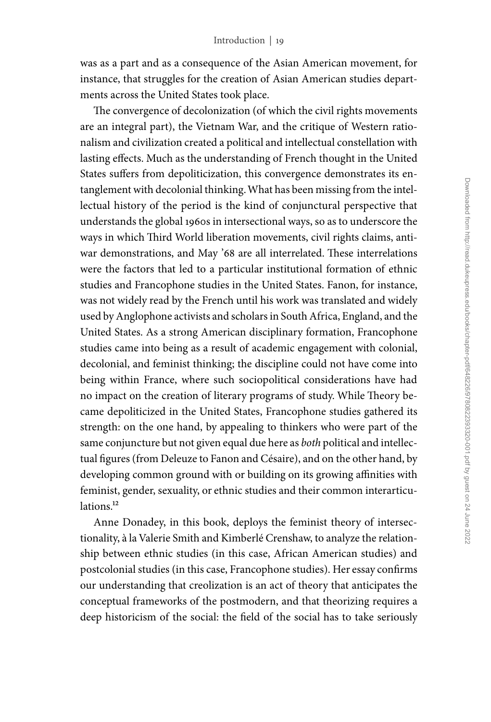was as a part and as a consequence of the Asian American movement, for instance, that struggles for the creation of Asian American studies departments across the United States took place.

The convergence of decolonization (of which the civil rights movements are an integral part), the Vietnam War, and the critique of Western rationalism and civilization created a political and intellectual constellation with lasting effects. Much as the understanding of French thought in the United States suffers from depoliticization, this convergence demonstrates its entanglement with decolonial thinking. What has been missing from the intellectual history of the period is the kind of conjunctural perspective that understands the global 1960s in intersectional ways, so as to underscore the ways in which Third World liberation movements, civil rights claims, antiwar demonstrations, and May '68 are all interrelated. These interrelations were the factors that led to a particular institutional formation of ethnic studies and Francophone studies in the United States. Fanon, for instance, was not widely read by the French until his work was translated and widely used by Anglophone activists and scholars in South Africa, England, and the United States. As a strong American disciplinary formation, Francophone studies came into being as a result of academic engagement with colonial, decolonial, and feminist thinking; the discipline could not have come into being within France, where such sociopolitical considerations have had no impact on the creation of literary programs of study. While Theory became depoliticized in the United States, Francophone studies gathered its strength: on the one hand, by appealing to thinkers who were part of the same conjuncture but not given equal due here as *both* political and intellectual figures (from Deleuze to Fanon and Césaire), and on the other hand, by developing common ground with or building on its growing affinities with feminist, gender, sexuality, or ethnic studies and their common interarticulations.<sup>12</sup>

Anne Donadey, in this book, deploys the feminist theory of intersectionality, à la Valerie Smith and Kimberlé Crenshaw, to analyze the relationship between ethnic studies (in this case, African American studies) and postcolonial studies (in this case, Francophone studies). Her essay confirms our understanding that creolization is an act of theory that anticipates the conceptual frameworks of the postmodern, and that theorizing requires a deep historicism of the social: the field of the social has to take seriously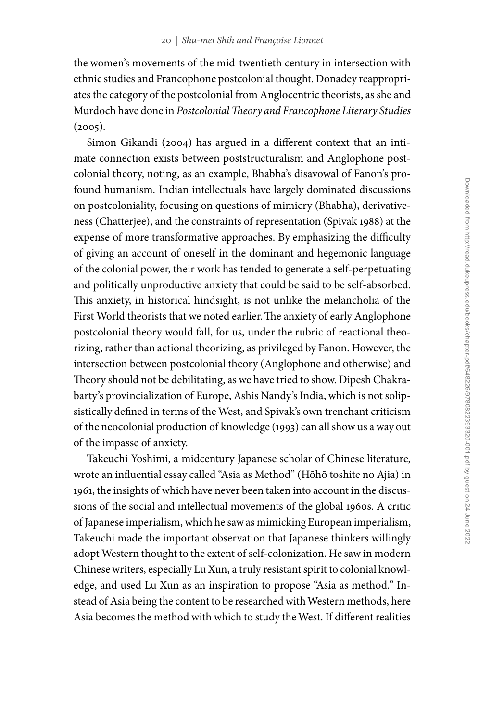the women's movements of the mid-twentieth century in intersection with ethnic studies and Francophone postcolonial thought. Donadey reappropriates the category of the postcolonial from Anglocentric theorists, as she and Murdoch have done in *Postcolonial Theory and Francophone Literary Studies*  $(2005).$ 

Simon Gikandi (2004) has argued in a different context that an intimate connection exists between poststructuralism and Anglophone postcolonial theory, noting, as an example, Bhabha's disavowal of Fanon's profound humanism. Indian intellectuals have largely dominated discussions on postcoloniality, focusing on questions of mimicry (Bhabha), derivativeness (Chatterjee), and the constraints of representation (Spivak 1988) at the expense of more transformative approaches. By emphasizing the difficulty of giving an account of oneself in the dominant and hegemonic language of the colonial power, their work has tended to generate a self-perpetuating and politically unproductive anxiety that could be said to be self-absorbed. This anxiety, in historical hindsight, is not unlike the melancholia of the First World theorists that we noted earlier. The anxiety of early Anglophone postcolonial theory would fall, for us, under the rubric of reactional theorizing, rather than actional theorizing, as privileged by Fanon. However, the intersection between postcolonial theory (Anglophone and otherwise) and Theory should not be debilitating, as we have tried to show. Dipesh Chakrabarty's provincialization of Europe, Ashis Nandy's India, which is not solipsistically defined in terms of the West, and Spivak's own trenchant criticism of the neocolonial production of knowledge (1993) can all show us a way out of the impasse of anxiety.

Takeuchi Yoshimi, a midcentury Japanese scholar of Chinese literature, wrote an influential essay called "Asia as Method" (Hōhō toshite no Ajia) in 1961, the insights of which have never been taken into account in the discussions of the social and intellectual movements of the global 1960s. A critic of Japanese imperialism, which he saw as mimicking European imperialism, Takeuchi made the important observation that Japanese thinkers willingly adopt Western thought to the extent of self-colonization. He saw in modern Chinese writers, especially Lu Xun, a truly resistant spirit to colonial knowledge, and used Lu Xun as an inspiration to propose "Asia as method." Instead of Asia being the content to be researched with Western methods, here Asia becomes the method with which to study the West. If different realities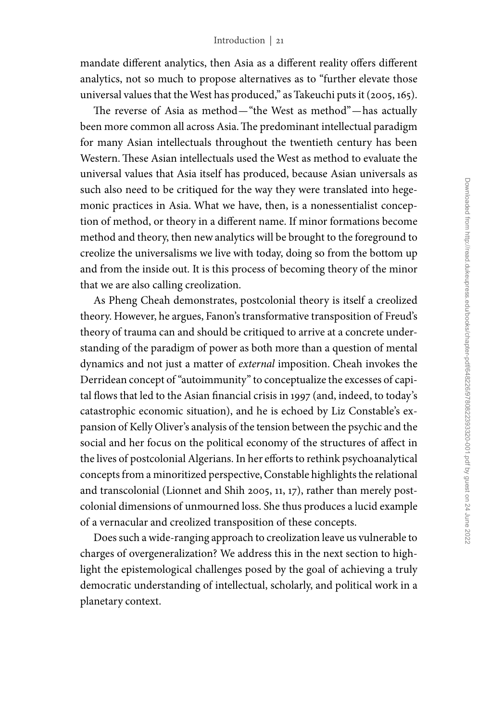mandate different analytics, then Asia as a different reality offers different analytics, not so much to propose alternatives as to "further elevate those universal values that the West has produced," as Takeuchi puts it (2005, 165).

The reverse of Asia as method—"the West as method"—has actually been more common all across Asia. The predominant intellectual paradigm for many Asian intellectuals throughout the twentieth century has been Western. These Asian intellectuals used the West as method to evaluate the universal values that Asia itself has produced, because Asian universals as such also need to be critiqued for the way they were translated into hegemonic practices in Asia. What we have, then, is a nonessentialist conception of method, or theory in a different name. If minor formations become method and theory, then new analytics will be brought to the foreground to creolize the universalisms we live with today, doing so from the bottom up and from the inside out. It is this process of becoming theory of the minor that we are also calling creolization.

As Pheng Cheah demonstrates, postcolonial theory is itself a creolized theory. However, he argues, Fanon's transformative transposition of Freud's theory of trauma can and should be critiqued to arrive at a concrete understanding of the paradigm of power as both more than a question of mental dynamics and not just a matter of *external* imposition. Cheah invokes the Derridean concept of "autoimmunity" to conceptualize the excesses of capital flows that led to the Asian financial crisis in 1997 (and, indeed, to today's catastrophic economic situation), and he is echoed by Liz Constable's expansion of Kelly Oliver's analysis of the tension between the psychic and the social and her focus on the political economy of the structures of affect in the lives of postcolonial Algerians. In her efforts to rethink psychoanalytical concepts from a minoritized perspective, Constable highlights the relational and transcolonial (Lionnet and Shih 2005, 11, 17), rather than merely postcolonial dimensions of unmourned loss. She thus produces a lucid example of a vernacular and creolized transposition of these concepts.

Does such a wide-ranging approach to creolization leave us vulnerable to charges of overgeneralization? We address this in the next section to highlight the epistemological challenges posed by the goal of achieving a truly democratic understanding of intellectual, scholarly, and political work in a planetary context.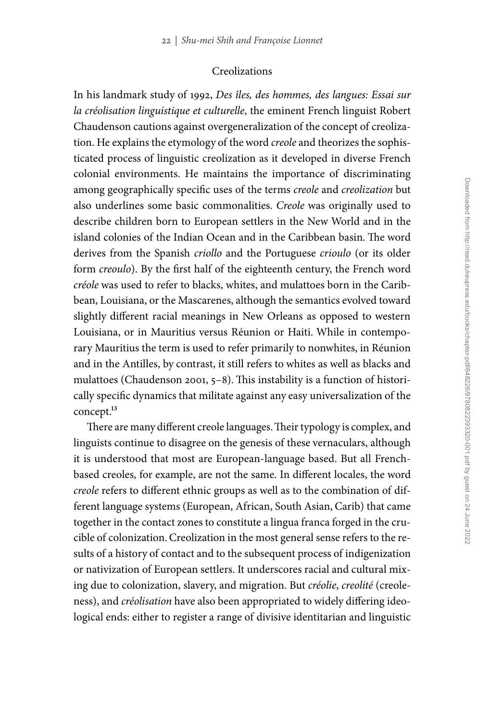## Creolizations

In his landmark study of 1992, *Des îles, des hommes, des langues: Essai sur la créolisation linguistique et culturelle*, the eminent French linguist Robert Chaudenson cautions against overgeneralization of the concept of creolization. He explains the etymology of the word *creole* and theorizes the sophisticated process of linguistic creolization as it developed in diverse French colonial environments. He maintains the importance of discriminating among geographically specific uses of the terms *creole* and *creolization* but also underlines some basic commonalities. *Creole* was originally used to describe children born to European settlers in the New World and in the island colonies of the Indian Ocean and in the Caribbean basin. The word derives from the Spanish *criollo* and the Portuguese *crioulo* (or its older form *creoulo*). By the first half of the eighteenth century, the French word *créole* was used to refer to blacks, whites, and mulattoes born in the Caribbean, Louisiana, or the Mascarenes, although the semantics evolved toward slightly different racial meanings in New Orleans as opposed to western Louisiana, or in Mauritius versus Réunion or Haiti. While in contemporary Mauritius the term is used to refer primarily to nonwhites, in Réunion and in the Antilles, by contrast, it still refers to whites as well as blacks and mulattoes (Chaudenson 2001, 5–8). This instability is a function of historically specific dynamics that militate against any easy universalization of the concept.<sup>13</sup>

There are many different creole languages. Their typology is complex, and linguists continue to disagree on the genesis of these vernaculars, although it is understood that most are European-language based. But all Frenchbased creoles, for example, are not the same. In different locales, the word *creole* refers to different ethnic groups as well as to the combination of different language systems (European, African, South Asian, Carib) that came together in the contact zones to constitute a lingua franca forged in the crucible of colonization. Creolization in the most general sense refers to the results of a history of contact and to the subsequent process of indigenization or nativization of European settlers. It underscores racial and cultural mixing due to colonization, slavery, and migration. But *créolie*, *creolité* (creoleness), and *créolisation* have also been appropriated to widely differing ideological ends: either to register a range of divisive identitarian and linguistic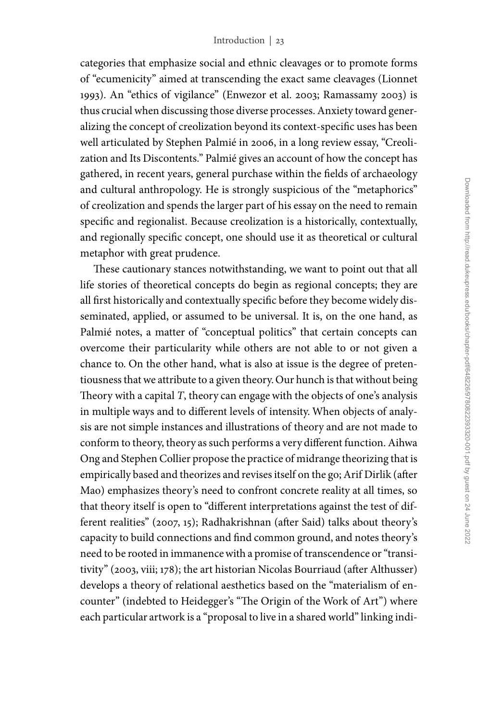categories that emphasize social and ethnic cleavages or to promote forms of "ecumenicity" aimed at transcending the exact same cleavages (Lionnet 1993). An "ethics of vigilance" (Enwezor et al. 2003; Ramassamy 2003) is thus crucial when discussing those diverse processes. Anxiety toward generalizing the concept of creolization beyond its context-specific uses has been well articulated by Stephen Palmié in 2006, in a long review essay, "Creolization and Its Discontents." Palmié gives an account of how the concept has gathered, in recent years, general purchase within the fields of archaeology and cultural anthropology. He is strongly suspicious of the "metaphorics" of creolization and spends the larger part of his essay on the need to remain specific and regionalist. Because creolization is a historically, contextually, and regionally specific concept, one should use it as theoretical or cultural metaphor with great prudence.

These cautionary stances notwithstanding, we want to point out that all life stories of theoretical concepts do begin as regional concepts; they are all first historically and contextually specific before they become widely disseminated, applied, or assumed to be universal. It is, on the one hand, as Palmié notes, a matter of "conceptual politics" that certain concepts can overcome their particularity while others are not able to or not given a chance to. On the other hand, what is also at issue is the degree of pretentiousness that we attribute to a given theory. Our hunch is that without being Theory with a capital *T*, theory can engage with the objects of one's analysis in multiple ways and to different levels of intensity. When objects of analysis are not simple instances and illustrations of theory and are not made to conform to theory, theory as such performs a very different function. Aihwa Ong and Stephen Collier propose the practice of midrange theorizing that is empirically based and theorizes and revises itself on the go; Arif Dirlik (after Mao) emphasizes theory's need to confront concrete reality at all times, so that theory itself is open to "different interpretations against the test of different realities" (2007, 15); Radhakrishnan (after Said) talks about theory's capacity to build connections and find common ground, and notes theory's need to be rooted in immanence with a promise of transcendence or "transitivity" (2003, viii; 178); the art historian Nicolas Bourriaud (after Althusser) develops a theory of relational aesthetics based on the "materialism of encounter" (indebted to Heidegger's "The Origin of the Work of Art") where each particular artwork is a "proposal to live in a shared world" linking indi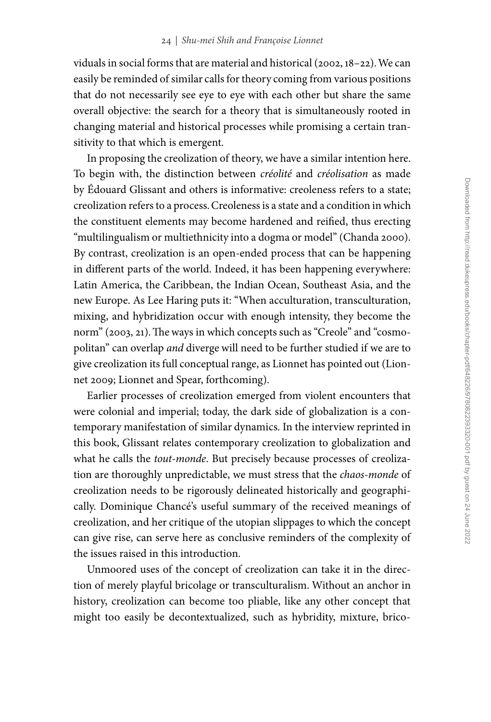viduals in social forms that are material and historical (2002, 18–22). We can easily be reminded of similar calls for theory coming from various positions that do not necessarily see eye to eye with each other but share the same overall objective: the search for a theory that is simultaneously rooted in changing material and historical processes while promising a certain transitivity to that which is emergent.

In proposing the creolization of theory, we have a similar intention here. To begin with, the distinction between *créolité* and *créolisation* as made by Édouard Glissant and others is informative: creoleness refers to a state; creolization refers to a process. Creoleness is a state and a condition in which the constituent elements may become hardened and reified, thus erecting "multilingualism or multiethnicity into a dogma or model" (Chanda 2000). By contrast, creolization is an open-ended process that can be happening in different parts of the world. Indeed, it has been happening everywhere: Latin America, the Caribbean, the Indian Ocean, Southeast Asia, and the new Europe. As Lee Haring puts it: "When acculturation, transculturation, mixing, and hybridization occur with enough intensity, they become the norm" (2003, 21). The ways in which concepts such as "Creole" and "cosmopolitan" can overlap *and* diverge will need to be further studied if we are to give creolization its full conceptual range, as Lionnet has pointed out (Lionnet 2009; Lionnet and Spear, forthcoming).

Earlier processes of creolization emerged from violent encounters that were colonial and imperial; today, the dark side of globalization is a contemporary manifestation of similar dynamics. In the interview reprinted in this book, Glissant relates contemporary creolization to globalization and what he calls the *tout-monde*. But precisely because processes of creolization are thoroughly unpredictable, we must stress that the *chaos-monde* of creolization needs to be rigorously delineated historically and geographically. Dominique Chancé's useful summary of the received meanings of creolization, and her critique of the utopian slippages to which the concept can give rise, can serve here as conclusive reminders of the complexity of the issues raised in this introduction.

Unmoored uses of the concept of creolization can take it in the direction of merely playful bricolage or transculturalism. Without an anchor in history, creolization can become too pliable, like any other concept that might too easily be decontextualized, such as hybridity, mixture, brico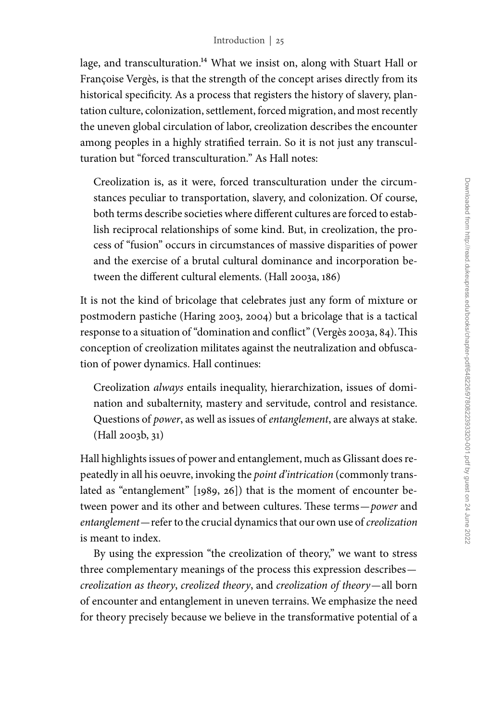lage, and transculturation.<sup>14</sup> What we insist on, along with Stuart Hall or Françoise Vergès, is that the strength of the concept arises directly from its historical specificity. As a process that registers the history of slavery, plantation culture, colonization, settlement, forced migration, and most recently the uneven global circulation of labor, creolization describes the encounter among peoples in a highly stratified terrain. So it is not just any transculturation but "forced transculturation." As Hall notes:

Creolization is, as it were, forced transculturation under the circumstances peculiar to transportation, slavery, and colonization. Of course, both terms describe societies where different cultures are forced to establish reciprocal relationships of some kind. But, in creolization, the process of "fusion" occurs in circumstances of massive disparities of power and the exercise of a brutal cultural dominance and incorporation between the different cultural elements. (Hall 2003a, 186)

It is not the kind of bricolage that celebrates just any form of mixture or postmodern pastiche (Haring 2003, 2004) but a bricolage that is a tactical response to a situation of "domination and conflict" (Vergès 2003a, 84). This conception of creolization militates against the neutralization and obfuscation of power dynamics. Hall continues:

Creolization *always* entails inequality, hierarchization, issues of domination and subalternity, mastery and servitude, control and resistance. Questions of *power*, as well as issues of *entanglement*, are always at stake. (Hall 2003b, 31)

Hall highlights issues of power and entanglement, much as Glissant does repeatedly in all his oeuvre, invoking the *point d'intrication* (commonly translated as "entanglement" [1989, 26]) that is the moment of encounter between power and its other and between cultures. These terms—*power* and *entanglement*—refer to the crucial dynamics that our own use of *creolization* is meant to index.

By using the expression "the creolization of theory," we want to stress three complementary meanings of the process this expression describes *creolization as theory*, *creolized theory*, and *creolization of theory*—all born of encounter and entanglement in uneven terrains. We emphasize the need for theory precisely because we believe in the transformative potential of a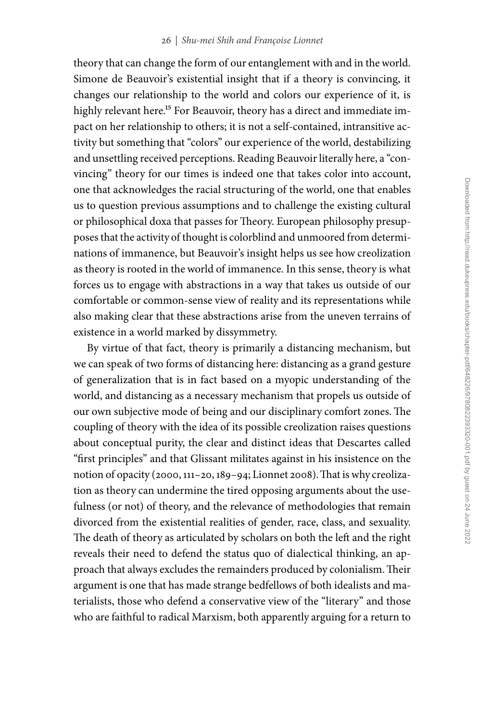theory that can change the form of our entanglement with and in the world. Simone de Beauvoir's existential insight that if a theory is convincing, it changes our relationship to the world and colors our experience of it, is highly relevant here.<sup>15</sup> For Beauvoir, theory has a direct and immediate impact on her relationship to others; it is not a self-contained, intransitive activity but something that "colors" our experience of the world, destabilizing and unsettling received perceptions. Reading Beauvoir literally here, a "convincing" theory for our times is indeed one that takes color into account, one that acknowledges the racial structuring of the world, one that enables us to question previous assumptions and to challenge the existing cultural or philosophical doxa that passes for Theory. European philosophy presupposes that the activity of thought is colorblind and unmoored from determinations of immanence, but Beauvoir's insight helps us see how creolization as theory is rooted in the world of immanence. In this sense, theory is what forces us to engage with abstractions in a way that takes us outside of our comfortable or common-sense view of reality and its representations while also making clear that these abstractions arise from the uneven terrains of existence in a world marked by dissymmetry.

By virtue of that fact, theory is primarily a distancing mechanism, but we can speak of two forms of distancing here: distancing as a grand gesture of generalization that is in fact based on a myopic understanding of the world, and distancing as a necessary mechanism that propels us outside of our own subjective mode of being and our disciplinary comfort zones. The coupling of theory with the idea of its possible creolization raises questions about conceptual purity, the clear and distinct ideas that Descartes called "first principles" and that Glissant militates against in his insistence on the notion of opacity (2000, 111–20, 189–94; Lionnet 2008). That is why creolization as theory can undermine the tired opposing arguments about the usefulness (or not) of theory, and the relevance of methodologies that remain divorced from the existential realities of gender, race, class, and sexuality. The death of theory as articulated by scholars on both the left and the right reveals their need to defend the status quo of dialectical thinking, an approach that always excludes the remainders produced by colonialism. Their argument is one that has made strange bedfellows of both idealists and materialists, those who defend a conservative view of the "literary" and those who are faithful to radical Marxism, both apparently arguing for a return to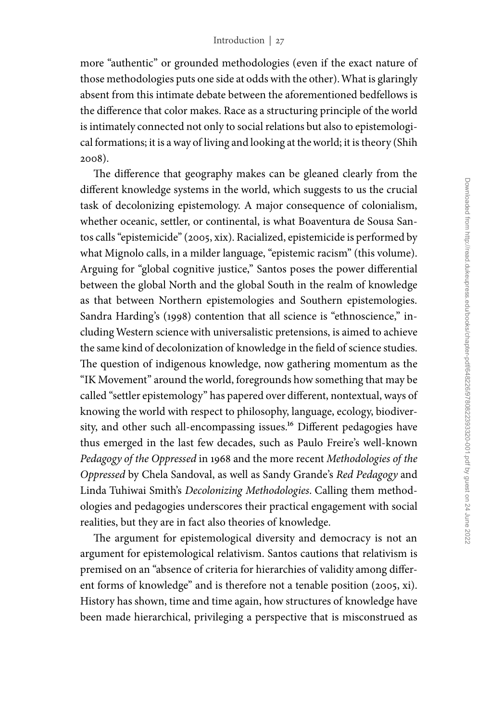more "authentic" or grounded methodologies (even if the exact nature of those methodologies puts one side at odds with the other). What is glaringly absent from this intimate debate between the aforementioned bedfellows is the difference that color makes. Race as a structuring principle of the world is intimately connected not only to social relations but also to epistemological formations; it is a way of living and looking at the world; it is theory (Shih 2008).

The difference that geography makes can be gleaned clearly from the different knowledge systems in the world, which suggests to us the crucial task of decolonizing epistemology. A major consequence of colonialism, whether oceanic, settler, or continental, is what Boaventura de Sousa Santos calls "epistemicide" (2005, xix). Racialized, epistemicide is performed by what Mignolo calls, in a milder language, "epistemic racism" (this volume). Arguing for "global cognitive justice," Santos poses the power differential between the global North and the global South in the realm of knowledge as that between Northern epistemologies and Southern epistemologies. Sandra Harding's (1998) contention that all science is "ethnoscience," including Western science with universalistic pretensions, is aimed to achieve the same kind of decolonization of knowledge in the field of science studies. The question of indigenous knowledge, now gathering momentum as the "IK Movement" around the world, foregrounds how something that may be called "settler epistemology" has papered over different, nontextual, ways of knowing the world with respect to philosophy, language, ecology, biodiversity, and other such all-encompassing issues.<sup>16</sup> Different pedagogies have thus emerged in the last few decades, such as Paulo Freire's well-known *Pedagogy of the Oppressed* in 1968 and the more recent *Methodologies of the Oppressed* by Chela Sandoval, as well as Sandy Grande's *Red Pedagogy* and Linda Tuhiwai Smith's *Decolonizing Methodologies*. Calling them methodologies and pedagogies underscores their practical engagement with social realities, but they are in fact also theories of knowledge.

The argument for epistemological diversity and democracy is not an argument for epistemological relativism. Santos cautions that relativism is premised on an "absence of criteria for hierarchies of validity among different forms of knowledge" and is therefore not a tenable position (2005, xi). History has shown, time and time again, how structures of knowledge have been made hierarchical, privileging a perspective that is misconstrued as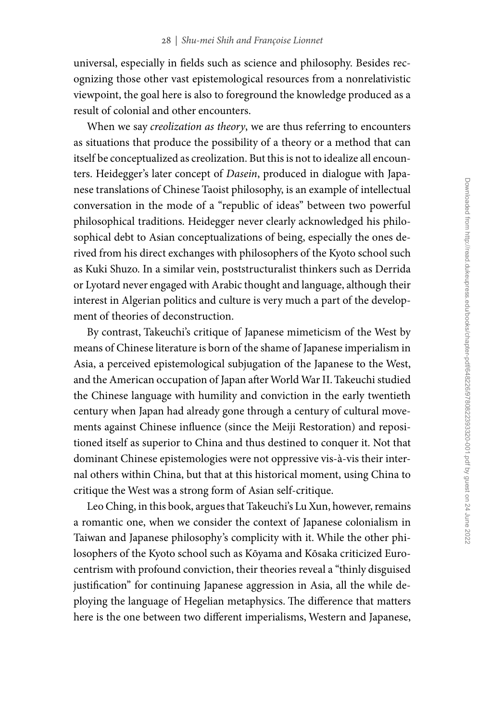universal, especially in fields such as science and philosophy. Besides recognizing those other vast epistemological resources from a nonrelativistic viewpoint, the goal here is also to foreground the knowledge produced as a result of colonial and other encounters.

When we say *creolization as theory*, we are thus referring to encounters as situations that produce the possibility of a theory or a method that can itself be conceptualized as creolization. But this is not to idealize all encounters. Heidegger's later concept of *Dasein*, produced in dialogue with Japanese translations of Chinese Taoist philosophy, is an example of intellectual conversation in the mode of a "republic of ideas" between two powerful philosophical traditions. Heidegger never clearly acknowledged his philosophical debt to Asian conceptualizations of being, especially the ones derived from his direct exchanges with philosophers of the Kyoto school such as Kuki Shuzo. In a similar vein, poststructuralist thinkers such as Derrida or Lyotard never engaged with Arabic thought and language, although their interest in Algerian politics and culture is very much a part of the development of theories of deconstruction.

By contrast, Takeuchi's critique of Japanese mimeticism of the West by means of Chinese literature is born of the shame of Japanese imperialism in Asia, a perceived epistemological subjugation of the Japanese to the West, and the American occupation of Japan after World War II. Takeuchi studied the Chinese language with humility and conviction in the early twentieth century when Japan had already gone through a century of cultural movements against Chinese influence (since the Meiji Restoration) and repositioned itself as superior to China and thus destined to conquer it. Not that dominant Chinese epistemologies were not oppressive vis-à-vis their internal others within China, but that at this historical moment, using China to critique the West was a strong form of Asian self-critique.

Leo Ching, in this book, argues that Takeuchi's Lu Xun, however, remains a romantic one, when we consider the context of Japanese colonialism in Taiwan and Japanese philosophy's complicity with it. While the other philosophers of the Kyoto school such as Kōyama and Kōsaka criticized Eurocentrism with profound conviction, their theories reveal a "thinly disguised justification" for continuing Japanese aggression in Asia, all the while deploying the language of Hegelian metaphysics. The difference that matters here is the one between two different imperialisms, Western and Japanese,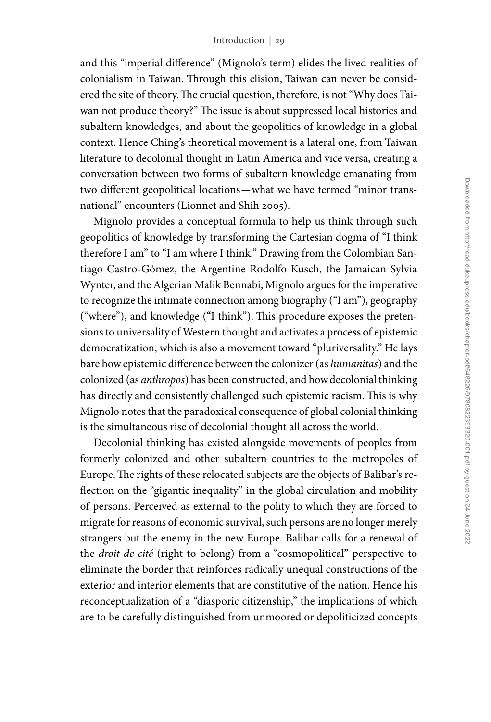and this "imperial difference" (Mignolo's term) elides the lived realities of colonialism in Taiwan. Through this elision, Taiwan can never be considered the site of theory. The crucial question, therefore, is not "Why does Taiwan not produce theory?" The issue is about suppressed local histories and subaltern knowledges, and about the geopolitics of knowledge in a global context. Hence Ching's theoretical movement is a lateral one, from Taiwan literature to decolonial thought in Latin America and vice versa, creating a conversation between two forms of subaltern knowledge emanating from two different geopolitical locations—what we have termed "minor transnational" encounters (Lionnet and Shih 2005).

Mignolo provides a conceptual formula to help us think through such geopolitics of knowledge by transforming the Cartesian dogma of "I think therefore I am" to "I am where I think." Drawing from the Colombian Santiago Castro-Gómez, the Argentine Rodolfo Kusch, the Jamaican Sylvia Wynter, and the Algerian Malik Bennabi, Mignolo argues for the imperative to recognize the intimate connection among biography ("I am"), geography ("where"), and knowledge ("I think"). This procedure exposes the pretensions to universality of Western thought and activates a process of epistemic democratization, which is also a movement toward "pluriversality." He lays bare how epistemic difference between the colonizer (as *humanitas*) and the colonized (as *anthropos*) has been constructed, and how decolonial thinking has directly and consistently challenged such epistemic racism. This is why Mignolo notes that the paradoxical consequence of global colonial thinking is the simultaneous rise of decolonial thought all across the world.

Decolonial thinking has existed alongside movements of peoples from formerly colonized and other subaltern countries to the metropoles of Europe. The rights of these relocated subjects are the objects of Balibar's reflection on the "gigantic inequality" in the global circulation and mobility of persons. Perceived as external to the polity to which they are forced to migrate for reasons of economic survival, such persons are no longer merely strangers but the enemy in the new Europe. Balibar calls for a renewal of the *droit de cité* (right to belong) from a "cosmopolitical" perspective to eliminate the border that reinforces radically unequal constructions of the exterior and interior elements that are constitutive of the nation. Hence his reconceptualization of a "diasporic citizenship," the implications of which are to be carefully distinguished from unmoored or depoliticized concepts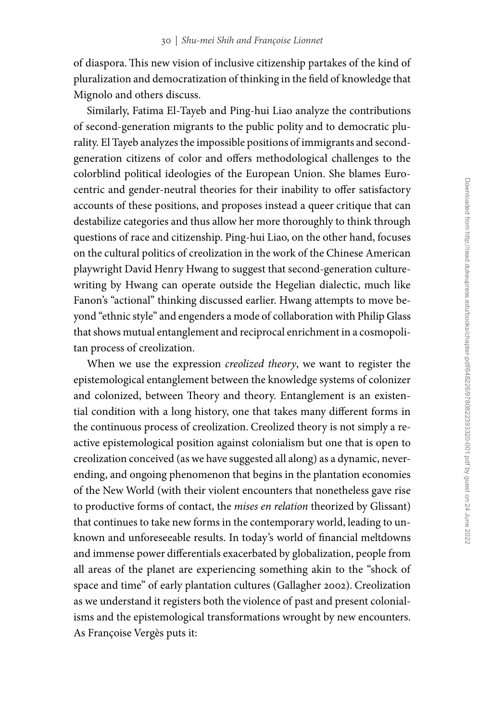of diaspora. This new vision of inclusive citizenship partakes of the kind of pluralization and democratization of thinking in the field of knowledge that Mignolo and others discuss.

Similarly, Fatima El-Tayeb and Ping-hui Liao analyze the contributions of second-generation migrants to the public polity and to democratic plurality. El Tayeb analyzes the impossible positions of immigrants and secondgeneration citizens of color and offers methodological challenges to the colorblind political ideologies of the European Union. She blames Eurocentric and gender-neutral theories for their inability to offer satisfactory accounts of these positions, and proposes instead a queer critique that can destabilize categories and thus allow her more thoroughly to think through questions of race and citizenship. Ping-hui Liao, on the other hand, focuses on the cultural politics of creolization in the work of the Chinese American playwright David Henry Hwang to suggest that second-generation culturewriting by Hwang can operate outside the Hegelian dialectic, much like Fanon's "actional" thinking discussed earlier. Hwang attempts to move beyond "ethnic style" and engenders a mode of collaboration with Philip Glass that shows mutual entanglement and reciprocal enrichment in a cosmopolitan process of creolization.

When we use the expression *creolized theory*, we want to register the epistemological entanglement between the knowledge systems of colonizer and colonized, between Theory and theory. Entanglement is an existential condition with a long history, one that takes many different forms in the continuous process of creolization. Creolized theory is not simply a reactive epistemological position against colonialism but one that is open to creolization conceived (as we have suggested all along) as a dynamic, neverending, and ongoing phenomenon that begins in the plantation economies of the New World (with their violent encounters that nonetheless gave rise to productive forms of contact, the *mises en relation* theorized by Glissant) that continues to take new forms in the contemporary world, leading to unknown and unforeseeable results. In today's world of financial meltdowns and immense power differentials exacerbated by globalization, people from all areas of the planet are experiencing something akin to the "shock of space and time" of early plantation cultures (Gallagher 2002). Creolization as we understand it registers both the violence of past and present colonialisms and the epistemological transformations wrought by new encounters. As Françoise Vergès puts it: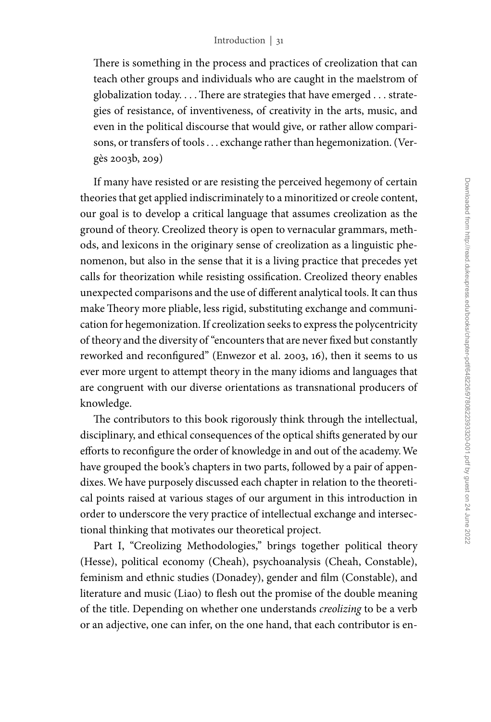There is something in the process and practices of creolization that can teach other groups and individuals who are caught in the maelstrom of globalization today. . . . There are strategies that have emerged . . . strategies of resistance, of inventiveness, of creativity in the arts, music, and even in the political discourse that would give, or rather allow comparisons, or transfers of tools . . . exchange rather than hegemonization. (Vergès 2003b, 209)

If many have resisted or are resisting the perceived hegemony of certain theories that get applied indiscriminately to a minoritized or creole content, our goal is to develop a critical language that assumes creolization as the ground of theory. Creolized theory is open to vernacular grammars, methods, and lexicons in the originary sense of creolization as a linguistic phenomenon, but also in the sense that it is a living practice that precedes yet calls for theorization while resisting ossification. Creolized theory enables unexpected comparisons and the use of different analytical tools. It can thus make Theory more pliable, less rigid, substituting exchange and communication for hegemonization. If creolization seeks to express the polycentricity of theory and the diversity of "encounters that are never fixed but constantly reworked and reconfigured" (Enwezor et al. 2003, 16), then it seems to us ever more urgent to attempt theory in the many idioms and languages that are congruent with our diverse orientations as transnational producers of knowledge.

The contributors to this book rigorously think through the intellectual, disciplinary, and ethical consequences of the optical shifts generated by our efforts to reconfigure the order of knowledge in and out of the academy. We have grouped the book's chapters in two parts, followed by a pair of appendixes. We have purposely discussed each chapter in relation to the theoretical points raised at various stages of our argument in this introduction in order to underscore the very practice of intellectual exchange and intersectional thinking that motivates our theoretical project.

Part I, "Creolizing Methodologies," brings together political theory (Hesse), political economy (Cheah), psychoanalysis (Cheah, Constable), feminism and ethnic studies (Donadey), gender and film (Constable), and literature and music (Liao) to flesh out the promise of the double meaning of the title. Depending on whether one understands *creolizing* to be a verb or an adjective, one can infer, on the one hand, that each contributor is en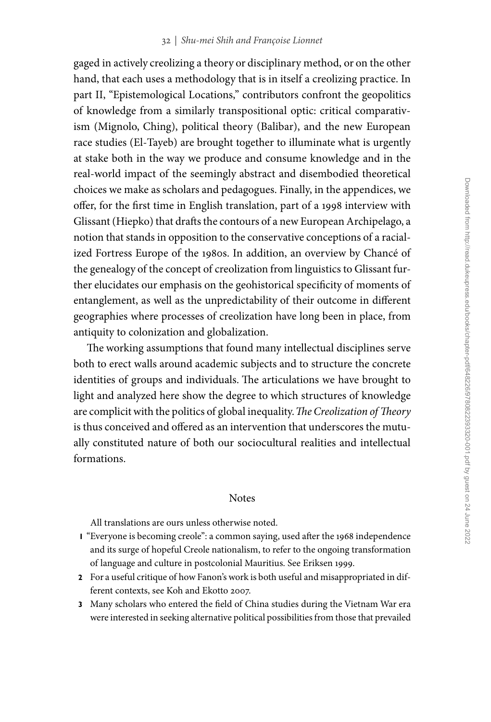gaged in actively creolizing a theory or disciplinary method, or on the other hand, that each uses a methodology that is in itself a creolizing practice. In part II, "Epistemological Locations," contributors confront the geopolitics of knowledge from a similarly transpositional optic: critical comparativism (Mignolo, Ching), political theory (Balibar), and the new European race studies (El-Tayeb) are brought together to illuminate what is urgently at stake both in the way we produce and consume knowledge and in the real-world impact of the seemingly abstract and disembodied theoretical choices we make as scholars and pedagogues. Finally, in the appendices, we offer, for the first time in English translation, part of a 1998 interview with Glissant (Hiepko) that drafts the contours of a new European Archipelago, a notion that stands in opposition to the conservative conceptions of a racialized Fortress Europe of the 1980s. In addition, an overview by Chancé of the genealogy of the concept of creolization from linguistics to Glissant further elucidates our emphasis on the geohistorical specificity of moments of entanglement, as well as the unpredictability of their outcome in different geographies where processes of creolization have long been in place, from antiquity to colonization and globalization.

The working assumptions that found many intellectual disciplines serve both to erect walls around academic subjects and to structure the concrete identities of groups and individuals. The articulations we have brought to light and analyzed here show the degree to which structures of knowledge are complicit with the politics of global inequality. *The Creolization of Theory* is thus conceived and offered as an intervention that underscores the mutually constituted nature of both our sociocultural realities and intellectual formations.

### **Notes**

All translations are ours unless otherwise noted.

- **1** "Everyone is becoming creole": a common saying, used after the 1968 independence and its surge of hopeful Creole nationalism, to refer to the ongoing transformation of language and culture in postcolonial Mauritius. See Eriksen 1999.
- **2** For a useful critique of how Fanon's work is both useful and misappropriated in different contexts, see Koh and Ekotto 2007.
- **3** Many scholars who entered the field of China studies during the Vietnam War era were interested in seeking alternative political possibilities from those that prevailed